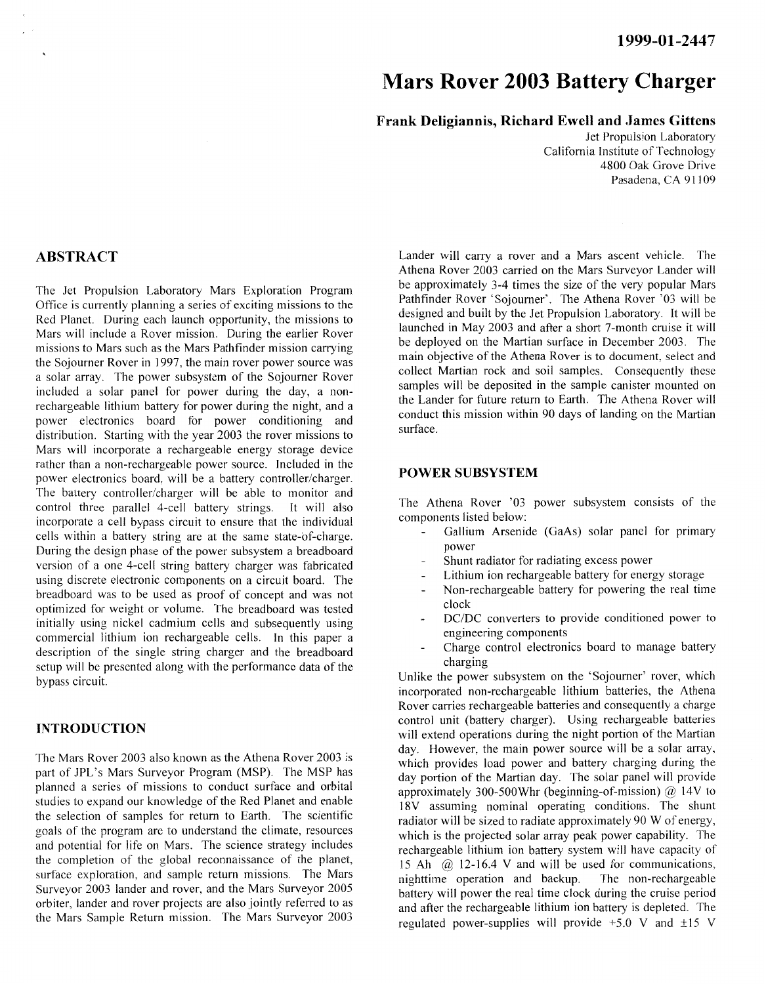# **Mars Rover 2003 Battery Charger**

# **Frank Deligiannis, Richard Ewe11 and James Gittens**

Jet Propulsion Laboratory California Institute of Technology 4800 Oak Grove Drive Pasadena, CA 91109

# **ABSTRACT**

The Jet Propulsion Laboratory Mars Exploration Program Office is currently planning a series of exciting missions to the Red Planet. During each launch opportunity, the missions to Mars will include a Rover mission. During the earlier Rover missions to Mars such as the Mars Pathfinder mission carrying the Sojourner Rover in 1997, the main rover power source was a solar array. The power subsystem of the Sojourner Rover included a solar panel for power during the day, a nonrechargeable lithium battery for power during the night, and a power electronics board for power conditioning and distribution. Starting with the year 2003 the rover missions to Mars will incorporate a rechargeable energy storage device rather than a non-rechargeable power source. Included in the power electronics board, will be a battery controller/charger. The battery controller/charger will be able to monitor and control three parallel 4-cell battery strings. It will also incorporate a cell bypass circuit to ensure that the individual cells within a battery string are at the same state-of-charge. During the design phase of the power subsystem a breadboard version of a one 4-cell string battery charger was fabricated using discrete electronic components on a circuit board. The breadboard was to be used as proof of concept and was not optimized for weight or volume. The breadboard was tested initially using nickel cadmium cells and subsequently using commercial lithium ion rechargeable cells. In this paper a description of the single string charger and the breadboard setup will be presented along with the performance data of the bypass circuit.

#### **INTRODUCTION**

The Mars Rover 2003 also known as the Athena Rover 2003 is part of JPL's Mars Surveyor Program (MSP). The MSP has planned a series of missions to conduct surface and orbital studies to expand our knowledge of the Red Planet and enable the selection of samples for return to Earth. The scientific goals of the program are to understand the climate, resources and potential for life on Mars. The science strategy includes the completion of the global reconnaissance of the planet, surface exploration, and sample return missions. The Mars Surveyor 2003 lander and rover, and the Mars Surveyor 2005 orbiter, lander and rover projects are also jointly referred to as the Mars Sample Return mission. The Mars Surveyor 2003

Lander will carry a rover and a Mars ascent vehicle. The Athena Rover 2003 carried on the Mars Surveyor Lander will be approximately 3-4 times the size of the very popular Mars Pathfinder Rover 'Sojourner'. The Athena Rover '03 will be designed and built by the Jet Propulsion Laboratory. It will be launched in May 2003 and after a short 7-month cruise it will be deployed on the Martian surface in December 2003. The main objective of the Athena Rover is to document. select and collect Martian rock and soil samples. Consequently these samples will be deposited in the sample canister mounted on the Lander for future return to Earth. The Athena Rover will conduct this mission within 90 days of landing on the Martian surface.

### **POWER SUBSYSTEM**

The Athena Rover '03 power subsystem consists of the components listed below:

- Gallium Arsenide (GaAs) solar panel for primary power
- Shunt radiator for radiating excess power
- Lithium ion rechargeable battery for energy storage
- Non-rechargeable battery for powering the real time clock
- DC/DC converters to provide conditioned power to engineering components
- Charge control electronics board to manage battery charging

Unlike the power subsystem on the 'Sojourner' rover, which incorporated non-rechargeable lithium batteries, the Athena Rover carries rechargeable batteries and consequently a charge control unit (battery charger). Using rechargeable batteries will extend operations during the night portion of the Martian day. However, the main power source will be a solar array, which provides load power and battery charging during the day portion of the Martian day. The solar panel will provide approximately 300-500Whr (beginning-of-mission) @ 14V to 18V assuming nominal operating conditions. The shunt radiator will be sized to radiate approximately 90 W of energy, which is the projected solar array peak power capability. The rechargeable lithium ion battery system will have capacity of 15 Ah  $\omega$  12-16.4 V and will be used for communications, nighttime operation and backup. The non-rechargeable nighttime operation and backup. battery will power the real time clock during the cruise period and after the rechargeable lithium ion battery is depleted. The regulated power-supplies will provide  $+5.0$  V and  $\pm 15$  V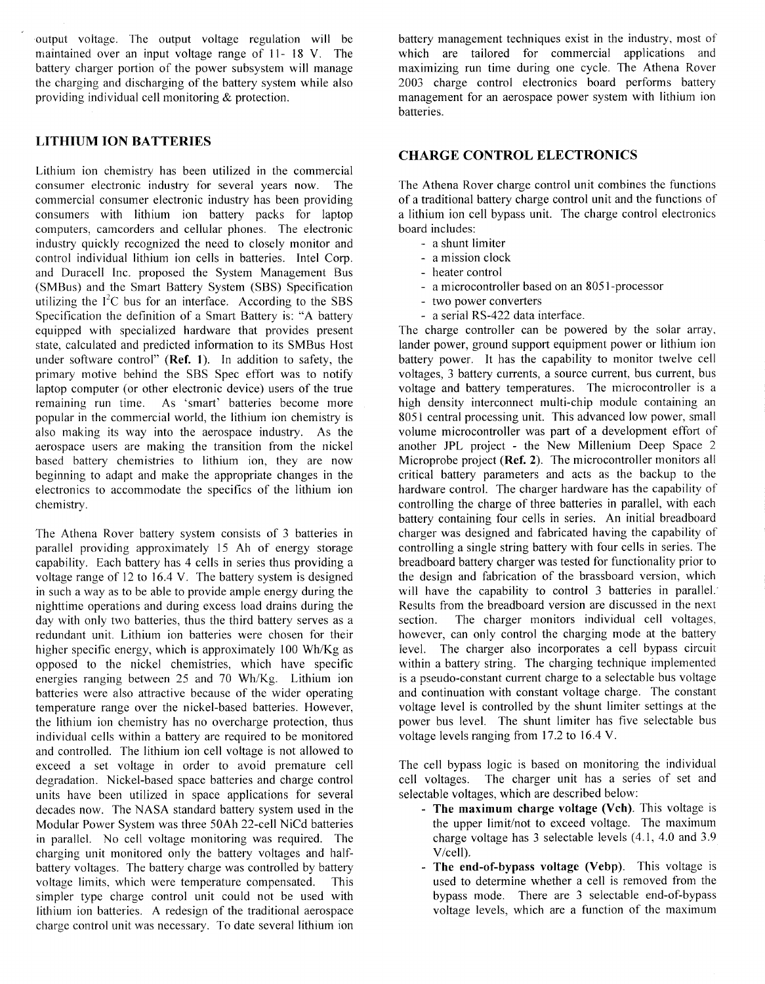output voltage. The output voltage regulation will be maintained over an input voltage range of 11- 18 V. The battery charger portion of the power subsystem will manage the charging and discharging of the battery system while also providing individual cell monitoring & protection.

# **LITHIUM ION BATTERIES**

Lithium ion chemistry has been utilized in the commercial consumer electronic industry for several years now. The commercial consumer electronic industry has been providing consumers with lithium ion battery packs for laptop computers, camcorders and cellular phones. The electronic industry quickly recognized the need to closely monitor and control individual ithium ion cells in batteries. Intel Corp. and Duracell Inc. proposed the System Management Bus (SMBus) and the Smart Battery System (SBS) Specification utilizing the  $I^2C$  bus for an interface. According to the SBS Specification the definition of a Smart Battery is: "A battery equipped with specialized hardware that provides present state, calculated and predicted information to its SMBus Host under software control" **(Ref. 1).** In addition to safety, the primary motive behind the SBS Spec effort was to notify laptop computer (or other electronic device) users of the true remaining run time. As 'smart' batteries become more popular in the commercial world, the lithium ion chemistry is also making its way into the aerospace industry. As the aerospace users are making the transition from the nickel based battery chemistries to lithium ion, they are now beginning to adapt and make the appropriate changes in the electronics to accommodate the specifics of the lithium ion chemistry.

The Athena Rover battery system consists of 3 batteries in parallel providing approximately 15 Ah of energy storage capability. Each battery has 4 cells in series thus providing a voltage range of 12 to 16.4 V. The battery system is designed in such a way as to be able to provide ample energy during the nighttime operations and during excess load drains during the day with only two batteries, thus the third battery serves as a redundant unit. Lithium ion batteries were chosen for their higher specific energy, which is approximately 100 Wh/Kg as opposed to the nickel chemistries, which have specific energies ranging between 25 and 70 Wh/Kg. Lithium ion batteries were also attractive because of the wider operating temperature range over the nickel-based batteries. However, the lithium ion chemistry has no overcharge protection, thus individual cells within a battery are required to be monitored and controlled. The lithium ion cell voltage is not allowed to exceed a set voltage in order to avoid premature cell degradation. Nickel-based space batteries and charge control units have been utilized in space applications for several decades now. The NASA standard battery system used in the Modular Power System was three S0Ah 22-cell NiCd batteries in parallel. No cell voltage monitoring was required. The charging unit monitored only the battery voltages and halfbattery voltages. The battery charge was controlled by battery voltage limits, which were temperature compensated. This simpler type charge control unit could not be used with lithium ion batteries. A redesign of the traditional aerospace charge control unit was necessary. To date several lithium ion battery management techniques exist in the industry, most of which are tailored for commercial applications and maximizing run time during one cycle. The Athena Rover 2003 charge control electronics board performs battery management for an aerospace power system with lithium ion batteries.

# **CHARGE CONTROL ELECTRONICS**

The Athena Rover charge control unit combines the functions of a traditional battery charge control unit and the functions of a lithium ion cell bypass unit. The charge control electronics board includes:

- a shunt limiter
- a mission clock
- heater control
- a microcontroller based on an 8051-processor
- two power converters
- a serial RS-422 data interface.

The charge controller can be powered by the solar array, lander power, ground support equipment power or lithium ion battery power. It has the capability to monitor twelve cell voltages, 3 battery currents, a source current, bus current, bus voltage and battery temperatures. The microcontroller is a high density interconnect multi-chip module containing an 8051 central processing unit. This advanced low power, small volume microcontroller was part of a development effort of another JPL project - the New Millenium Deep Space 2 Microprobe project **(Ref. 2).** The microcontroller monitors all critical battery parameters and acts as the backup to the hardware control. The charger hardware has the capability of controlling the charge of three batteries in parallel, with each battery containing four cells in series. An initial breadboard charger was designed and fabricated having the capability of controlling a single string battery with four cells in series. The breadboard battery charger was tested for functionality prior to the design and fabrication of the brassboard version, which will have the capability to control 3 batteries in parallel. Results from the breadboard version are discussed in the next section. The charger monitors individual cell voltages. however, can only control the charging mode at the battery level. The charger also incorporates a cell bypass circuit within a battery string. The charging technique implemented is a pseudo-constant current charge to a selectable bus voltage and continuation with constant voltage charge. The constant voltage level is controlled by the shunt limiter settings at the power bus level. The shunt limiter has five selectable bus voltage levels ranging from 17.2 to 16.4 V.

The cell bypass logic is based on monitoring the individual cell voltages. The charger unit has a series of set and selectable voltages, which are described below:

- **The maximum charge voltage (Vch).** This voltage is the upper limit/not to exceed voltage. The maximum charge voltage has  $3$  selectable levels  $(4.1, 4.0, \text{and } 3.9)$ Vicell).
- **The end-of-bypass voltage (Vebp).** This voltage is used to determine whether a cell is removed from the bypass mode. There are 3 selectable end-of-bypass voltage levels, which are a function of the maximum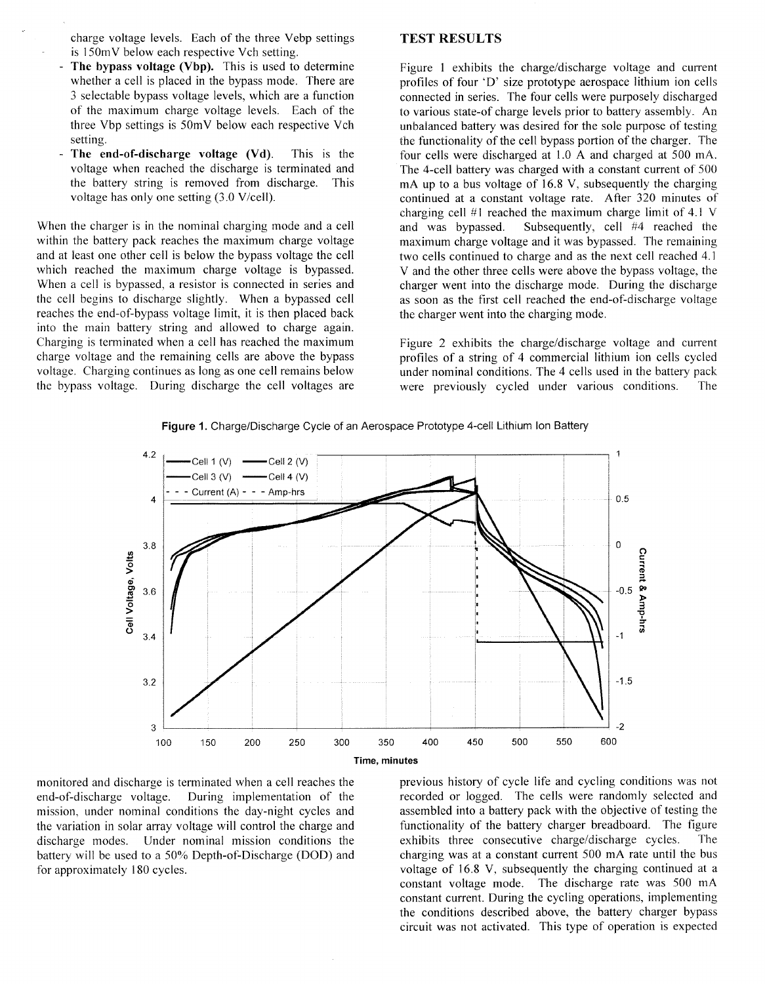charge voltage levels. Each of the three Vebp settings is 150mV below each respective Vch setting.

- The bypass voltage (Vbp). This is used to determine whether a cell is placed in the bypass mode. There are *3* selectable bypass voltage levels, which are a function of the maximum charge voltage levels. Each of the three Vbp settings is 50mV below each respective Vch setting.
- The end-of-discharge voltage (Vd). This is the voltage when reached the discharge is terminated and the battery string is removed from discharge. This voltage has only one setting  $(3.0 \text{ V/cell}).$

When the charger is in the nominal charging mode and a cell within the battery pack reaches the maximum charge voltage and at least one other cell is below the bypass voltage the cell which reached the maximum charge voltage is bypassed. When a cell is bypassed, a resistor is connected in series and the cell begins to discharge slightly. When a bypassed cell reaches the end-of-bypass voltage limit, it is then placed back into the main battery string and allowed to charge again. Charging is terminated when a cell has reached the maximum charge voltage and the remaining cells are above the bypass voltage. Charging continues as long as one cell remains below the bypass voltage. During discharge the cell voltages are

#### **TEST RESULTS**

Figure **1** exhibits the charge/discharge voltage and current profiles of four 'D' size prototype aerospace lithium ion cells connected in series. The four cells were purposely discharged to various state-of charge levels prior to battery assembly. An unbalanced battery was desired for the sole purpose of testing the functionality of the cell bypass portion of the charger. The four cells were discharged at 1.0 A and charged at 500 ma. The 4-cell battery was charged with a constant current of 500 mA up to a bus voltage of 16.8 V, subsequently the charging continued at a constant voltage rate. After 320 minutes of charging cell #1 reached the maximum charge limit of 4.1 V and was bypassed. Subsequently, cell #4 reached the maximum charge voltage and it was bypassed. The remaining two cells continued to charge and as the next cell reached 4.1 V and the other three cells were above the bypass voltage, the charger went into the discharge mode. During the discharge as soon as the first cell reached the end-of-discharge voltage the charger went into the charging mode.

[Figure 2](#page-3-0) exhibits the charge/discharge voltage and current profiles of a string of 4 commercial lithium ion cells cycled under nominal conditions. The 4 cells used in the battery pack were previously cycled under various conditions. The





the variation in solar array voltage will control the charge and functionality of the battery charger breadboard. The discharge modes. Under nominal mission conditions the exhibits three consecutive charge/discharge cycles discharge modes. Under nominal mission conditions the

monitored and discharge is terminated when a cell reaches the previous history of cycle life and cycling conditions was not end-of-discharge voltage. During implementation of the recorded or logged. The cells were randomly selected and mission, under nominal conditions the day-night cycles and assembled into a battery pack with the objective of mission, under nominal conditions the day-night cycles and assembled into a battery pack with the objective of testing the the variation in solar array voltage will control the charge and functionality of the battery charg **The** battery will be used to a 50% Depth-of-Discharge (DOD) and charging was at a constant current 500 mA rate until the bus for approximately 180 cycles. voltage of 16.8 V, subsequently the charging continued at a constant voltage mode. The discharge rate was 500 mA constant current. During the cycling operations, implementing the conditions described above, the battery charger bypass circuit was not activated. This type of operation is expected